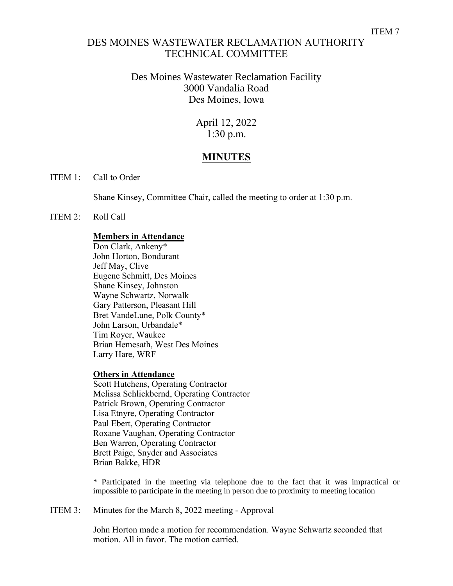## DES MOINES WASTEWATER RECLAMATION AUTHORITY TECHNICAL COMMITTEE

## Des Moines Wastewater Reclamation Facility 3000 Vandalia Road Des Moines, Iowa

## April 12, 2022 1:30 p.m.

# **MINUTES**

#### ITEM 1: Call to Order

Shane Kinsey, Committee Chair, called the meeting to order at 1:30 p.m.

#### ITEM 2: Roll Call

### **Members in Attendance**

Don Clark, Ankeny\* John Horton, Bondurant Jeff May, Clive Eugene Schmitt, Des Moines Shane Kinsey, Johnston Wayne Schwartz, Norwalk Gary Patterson, Pleasant Hill Bret VandeLune, Polk County\* John Larson, Urbandale\* Tim Royer, Waukee Brian Hemesath, West Des Moines Larry Hare, WRF

#### **Others in Attendance**

Scott Hutchens, Operating Contractor Melissa Schlickbernd, Operating Contractor Patrick Brown, Operating Contractor Lisa Etnyre, Operating Contractor Paul Ebert, Operating Contractor Roxane Vaughan, Operating Contractor Ben Warren, Operating Contractor Brett Paige, Snyder and Associates Brian Bakke, HDR

\* Participated in the meeting via telephone due to the fact that it was impractical or impossible to participate in the meeting in person due to proximity to meeting location

ITEM 3: Minutes for the March 8, 2022 meeting - Approval

John Horton made a motion for recommendation. Wayne Schwartz seconded that motion. All in favor. The motion carried.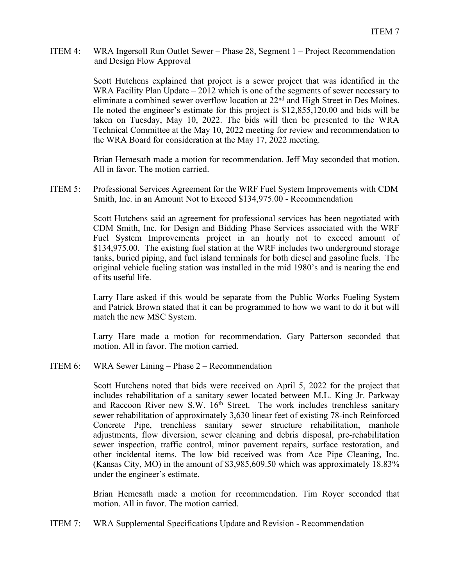ITEM 4: WRA Ingersoll Run Outlet Sewer – Phase 28, Segment 1 – Project Recommendation and Design Flow Approval

> Scott Hutchens explained that project is a sewer project that was identified in the WRA Facility Plan Update – 2012 which is one of the segments of sewer necessary to eliminate a combined sewer overflow location at 22<sup>nd</sup> and High Street in Des Moines. He noted the engineer's estimate for this project is \$12,855,120.00 and bids will be taken on Tuesday, May 10, 2022. The bids will then be presented to the WRA Technical Committee at the May 10, 2022 meeting for review and recommendation to the WRA Board for consideration at the May 17, 2022 meeting.

> Brian Hemesath made a motion for recommendation. Jeff May seconded that motion. All in favor. The motion carried.

ITEM 5: Professional Services Agreement for the WRF Fuel System Improvements with CDM Smith, Inc. in an Amount Not to Exceed \$134,975.00 - Recommendation

> Scott Hutchens said an agreement for professional services has been negotiated with CDM Smith, Inc. for Design and Bidding Phase Services associated with the WRF Fuel System Improvements project in an hourly not to exceed amount of \$134,975.00. The existing fuel station at the WRF includes two underground storage tanks, buried piping, and fuel island terminals for both diesel and gasoline fuels. The original vehicle fueling station was installed in the mid 1980's and is nearing the end of its useful life.

> Larry Hare asked if this would be separate from the Public Works Fueling System and Patrick Brown stated that it can be programmed to how we want to do it but will match the new MSC System.

> Larry Hare made a motion for recommendation. Gary Patterson seconded that motion. All in favor. The motion carried.

ITEM 6: WRA Sewer Lining – Phase 2 – Recommendation

Scott Hutchens noted that bids were received on April 5, 2022 for the project that includes rehabilitation of a sanitary sewer located between M.L. King Jr. Parkway and Raccoon River new S.W. 16<sup>th</sup> Street. The work includes trenchless sanitary sewer rehabilitation of approximately 3,630 linear feet of existing 78-inch Reinforced Concrete Pipe, trenchless sanitary sewer structure rehabilitation, manhole adjustments, flow diversion, sewer cleaning and debris disposal, pre-rehabilitation sewer inspection, traffic control, minor pavement repairs, surface restoration, and other incidental items. The low bid received was from Ace Pipe Cleaning, Inc. (Kansas City, MO) in the amount of \$3,985,609.50 which was approximately 18.83% under the engineer's estimate.

Brian Hemesath made a motion for recommendation. Tim Royer seconded that motion. All in favor. The motion carried.

ITEM 7: WRA Supplemental Specifications Update and Revision - Recommendation